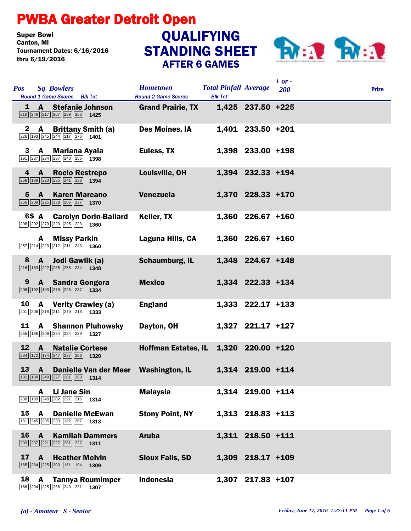## PWBA Greater Detroit Open

**Super Bowl<br>Canton, MI** Tournament Dates: 6/16/2016 thru 6/19/2016

## STANDING SHEET AFTER 6 GAMES **QUALIFYING**



|                |                                                                                                                                    |                            |                                               |                                                |                     | $+$ or $-$ |              |
|----------------|------------------------------------------------------------------------------------------------------------------------------------|----------------------------|-----------------------------------------------|------------------------------------------------|---------------------|------------|--------------|
| <b>Pos</b>     | <b>Sq Bowlers</b><br>Round 1 Game Scores Blk Tot                                                                                   |                            | <b>Hometown</b><br><b>Round 2 Game Scores</b> | <b>Total Pinfall Average</b><br><b>Blk Tot</b> |                     | 200        | <b>Prize</b> |
|                | 1 A Stefanie Johnson<br>$\boxed{210}$ $\boxed{246}$ $\boxed{217}$ $\boxed{207}$ $\boxed{289}$ $\boxed{256}$ <b>1425</b>            |                            | <b>Grand Prairie, TX</b>                      |                                                | 1,425 237.50 +225   |            |              |
| $\mathbf{2}^-$ | <b>A</b> Brittany Smith (a)<br>$\boxed{226}$ 193 $\boxed{245}$ $\boxed{244}$ $\boxed{217}$ $\boxed{276}$ 1401                      |                            | Des Moines, IA                                |                                                | 1,401 233.50 +201   |            |              |
| 3              | A Mariana Ayala<br>191 237 234 237 243 256 1398                                                                                    |                            | Euless, TX                                    |                                                | 1,398 233.00 +198   |            |              |
| 4              | A<br>268 189 223 235 241 238 1394                                                                                                  | <b>Rocio Restrepo</b>      | Louisville, OH                                |                                                | 1,394 232.33 +194   |            |              |
| 5              | <b>A</b> Karen Marcano<br>$\boxed{256}$ $\boxed{208}$ $\boxed{225}$ $\boxed{238}$ $\boxed{206}$ $\boxed{237}$ <b>1370</b>          |                            | Venezuela                                     |                                                | 1,370 228.33 +170   |            |              |
|                | 208 202 279 223 225 223 1360                                                                                                       | 6S A Carolyn Dorin-Ballard | Keller, TX                                    |                                                | 1,360 226.67 +160   |            |              |
|                | <b>A</b> Missy Parkin<br>$\boxed{257}$ $\boxed{214}$ $\boxed{223}$ $\boxed{212}$ $\boxed{211}$ $\boxed{243}$ <b>1360</b>           |                            | Laguna Hills, CA                              |                                                | $1,360$ 226.67 +160 |            |              |
| 8              | Jodi Gawlik (a)<br>$\mathbf{A}$<br>$\boxed{216}$ $\boxed{183}$ $\boxed{222}$ $\boxed{235}$ $\boxed{258}$ $\boxed{234}$ <b>1348</b> |                            | Schaumburg, IL                                |                                                | 1,348 224.67 +148   |            |              |
| 9              | A Sandra Gongora<br>208 192 193 279 225 237 1334                                                                                   |                            | <b>Mexico</b>                                 |                                                | 1,334 222.33 +134   |            |              |
| 10             | <b>A</b> Verity Crawley (a)<br>$\boxed{201}$ $\boxed{206}$ $\boxed{218}$ $\boxed{211}$ $\boxed{279}$ $\boxed{218}$ <b>1333</b>     |                            | <b>England</b>                                |                                                | 1,333 222.17 +133   |            |              |
| 11             | 255 186 209 224 224 229 1327                                                                                                       | <b>A</b> Shannon Pluhowsky | Dayton, OH                                    |                                                | 1,327 221.17 +127   |            |              |
| 12             | $\overline{A}$<br>$\boxed{234}$ 172 174 247 237 256 1320                                                                           | <b>Natalie Cortese</b>     | <b>Hoffman Estates, IL</b>                    |                                                | 1,320 220.00 +120   |            |              |
| <b>13</b>      | $\overline{A}$<br>$\boxed{182}$ $\boxed{188}$ $\boxed{248}$ $\boxed{227}$ $\boxed{201}$ $\boxed{268}$ 1314                         | Danielle Van der Meer      | <b>Washington, IL</b>                         |                                                | 1,314 219.00 +114   |            |              |
|                | Li Jane Sin<br>A<br>238 189 248 202 221 216 1314                                                                                   |                            | <b>Malaysia</b>                               |                                                | 1,314 219.00 +114   |            |              |
| 15             | A<br>181 245 205 233 182 267 1313                                                                                                  | <b>Danielle McEwan</b>     | <b>Stony Point, NY</b>                        |                                                | 1,313 218.83 +113   |            |              |
| 16             | A<br>$\boxed{203}$ $\boxed{237}$ $\boxed{221}$ $\boxed{227}$ $\boxed{201}$ $\boxed{222}$ <b>1311</b>                               | <b>Kamilah Dammers</b>     | <b>Aruba</b>                                  |                                                | 1,311 218.50 +111   |            |              |
| 17             | $\mathbf{A}$<br>$\boxed{165}$ $\boxed{264}$ $\boxed{225}$ $\boxed{300}$ $\boxed{161}$ $\boxed{194}$ <b>1309</b>                    | <b>Heather Melvin</b>      | <b>Sioux Falls, SD</b>                        |                                                | 1,309 218.17 +109   |            |              |
| 18             | A<br>166 204 225 238 243 231 1307                                                                                                  | <b>Tannya Roumimper</b>    | <b>Indonesia</b>                              |                                                | 1,307 217.83 +107   |            |              |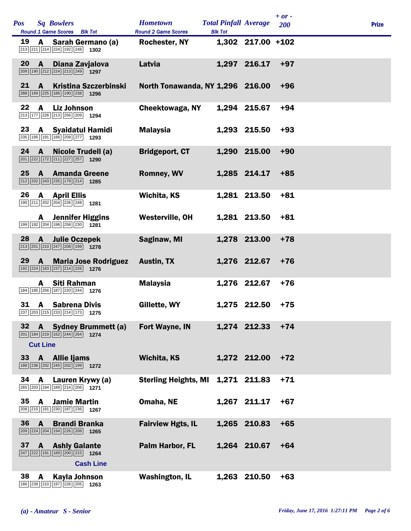| <b>Pos</b> |                                 | <b>Sq Bowlers</b><br>Round 1 Game Scores Blk Tot                                                                        | <b>Hometown</b><br><b>Round 2 Game Scores</b> | <b>Total Pinfall Average</b><br><b>Blk Tot</b> |                   | $+ or -$<br><b>200</b> | <b>Prize</b> |
|------------|---------------------------------|-------------------------------------------------------------------------------------------------------------------------|-----------------------------------------------|------------------------------------------------|-------------------|------------------------|--------------|
| 19         | A                               | Sarah Germano (a)<br>213 211 214 224 192 248 1302                                                                       | <b>Rochester, NY</b>                          |                                                | 1,302 217.00 +102 |                        |              |
| 20         | $\mathbf{A}$                    | Diana Zavjalova<br>$\boxed{209}$ 190 212 224 213 249 1297                                                               | Latvia                                        |                                                | 1,297 216.17      | $+97$                  |              |
| 21         | A                               | <b>Kristina Szczerbinski</b><br>288 169 225 186 190 238 1296                                                            | North Tonawanda, NY 1,296 216.00              |                                                |                   | $+96$                  |              |
| 22         | A                               | <b>Liz Johnson</b><br>213 177 226 213 256 209 1294                                                                      | Cheektowaga, NY                               |                                                | 1,294 215.67      | $+94$                  |              |
| 23         |                                 | A Syaidatul Hamidi<br>235 195 191 186 209 277 1293                                                                      | <b>Malaysia</b>                               |                                                | 1,293 215.50      | $+93$                  |              |
| 24         | $\mathbf{A}$                    | Nicole Trudell (a)<br>$\boxed{201}$ $\boxed{222}$ $\boxed{172}$ $\boxed{211}$ $\boxed{227}$ $\boxed{257}$ 1290          | <b>Bridgeport, CT</b>                         |                                                | 1,290 215.00      | $+90$                  |              |
| 25         | <b>A</b>                        | <b>Amanda Greene</b><br>$\boxed{212}$ $\boxed{202}$ $\boxed{243}$ $\boxed{235}$ $\boxed{179}$ $\boxed{214}$ <b>1285</b> | <b>Romney, WV</b>                             |                                                | 1,285 214.17      | $+85$                  |              |
| 26         | A                               | <b>April Ellis</b><br>190 211 202 204 226 248 1281                                                                      | Wichita, KS                                   |                                                | 1,281 213.50      | $+81$                  |              |
|            |                                 | <b>A</b> Jennifer Higgins<br>199 192 204 198 258 230 1281                                                               | <b>Westerville, OH</b>                        |                                                | 1,281 213.50      | $+81$                  |              |
| 28         | $\mathbf{A}$                    | <b>Julie Oczepek</b><br>$\boxed{213}$ $\boxed{201}$ $\boxed{210}$ $\boxed{247}$ $\boxed{208}$ $\boxed{199}$ <b>1278</b> | Saginaw, MI                                   |                                                | 1,278 213.00      | $+78$                  |              |
| 29         | $\mathbf{A}$                    | <b>Maria Jose Rodriguez</b><br>192 224 183 237 214 226 1276                                                             | Austin, TX                                    |                                                | 1,276 212.67      | $+76$                  |              |
|            | A                               | Siti Rahman<br>184 185 256 187 220 244 1276                                                                             | <b>Malaysia</b>                               |                                                | 1,276 212.67      | $+76$                  |              |
| 31         | <b>A</b>                        | <b>Sabrena Divis</b><br>237 203 215 233 214 173 1275                                                                    | Gillette, WY                                  |                                                | 1,275 212.50      | $+75$                  |              |
| 32         | $\mathbf{A}$<br><b>Cut Line</b> | <b>Sydney Brummett (a)</b><br>$\boxed{201}$ 184 $\boxed{219}$ 162 $\boxed{244}$ 264 1274                                | <b>Fort Wayne, IN</b>                         |                                                | 1,274 212.33      | $+74$                  |              |
| 33         |                                 | A Allie Ijams<br>188 236 202 245 202 199 1272                                                                           | Wichita, KS                                   |                                                | 1,272 212.00      | $+72$                  |              |
| 34         |                                 | A Lauren Krywy (a)<br>265 203 194 189 214 206 1271                                                                      | <b>Sterling Heights, MI</b>                   |                                                | 1,271 211.83      | $+71$                  |              |
| 35         | A                               | <b>Jamie Martin</b><br>208 215 191 230 187 236 1267                                                                     | Omaha, NE                                     |                                                | 1,267 211.17      | $+67$                  |              |
| 36         | $\mathbf{A}$                    | <b>Brandi Branka</b><br>$\boxed{209}$ $\boxed{224}$ $\boxed{204}$ $\boxed{194}$ $\boxed{226}$ $\boxed{208}$ <b>1265</b> | <b>Fairview Hgts, IL</b>                      |                                                | 1,265 210.83      | $+65$                  |              |
| 37         |                                 | <b>A</b> Ashly Galante<br>$\boxed{247}$ $\boxed{222}$ 191 189 200 215 1264<br><b>Cash Line</b>                          | Palm Harbor, FL                               |                                                | 1,264 210.67      | $+64$                  |              |
| 38         | A                               | Kayla Johnson<br>186 239 210 197 226 205 1263                                                                           | <b>Washington, IL</b>                         |                                                | 1,263 210.50      | $+63$                  |              |

 $\overline{1}$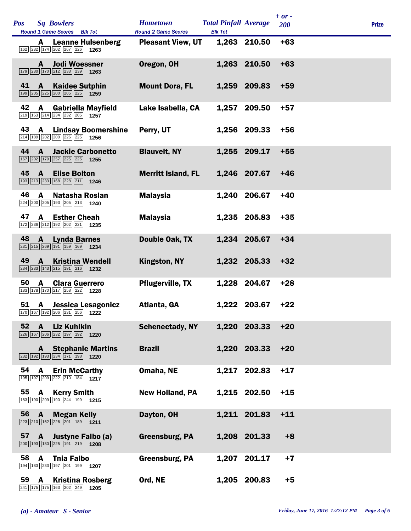| <b>Pos</b> |              | <b>Sq Bowlers</b><br>Round 1 Game Scores Blk Tot                                                                       | <b>Hometown</b><br><b>Round 2 Game Scores</b> | <b>Total Pinfall Average</b><br><b>Blk Tot</b> |              | $+ or -$<br><b>200</b> | <b>Prize</b> |  |
|------------|--------------|------------------------------------------------------------------------------------------------------------------------|-----------------------------------------------|------------------------------------------------|--------------|------------------------|--------------|--|
|            | A            | <b>Leanne Hulsenberg</b><br>162 232 174 202 267 226 1263                                                               | <b>Pleasant View, UT</b>                      |                                                | 1,263 210.50 | $+63$                  |              |  |
|            | A            | <b>Jodi Woessner</b><br>179 230 170 212 233 239 1263                                                                   | Oregon, OH                                    |                                                | 1,263 210.50 | $+63$                  |              |  |
| 41         | A            | <b>Kaidee Sutphin</b><br>199 205 225 200 205 225 1259                                                                  | <b>Mount Dora, FL</b>                         |                                                | 1,259 209.83 | $+59$                  |              |  |
| 42         | A            | <b>Gabriella Mayfield</b><br>219 153 214 234 232 205 1257                                                              | Lake Isabella, CA                             | 1,257                                          | 209.50       | $+57$                  |              |  |
| 43         | $\mathbf{A}$ | <b>Lindsay Boomershine</b><br>214 189 202 200 226 225 1256                                                             | Perry, UT                                     |                                                | 1,256 209.33 | $+56$                  |              |  |
| 44         | $\mathbf{A}$ | <b>Jackie Carbonetto</b><br>167 202 179 257 225 225 1255                                                               | <b>Blauvelt, NY</b>                           |                                                | 1,255 209.17 | $+55$                  |              |  |
| 45         | A            | <b>Elise Bolton</b><br>193 213 233 168 228 211 1246                                                                    | <b>Merritt Island, FL</b>                     |                                                | 1,246 207.67 | +46                    |              |  |
| 46         | A            | <b>Natasha Roslan</b><br>224 200 205 193 205 213 1240                                                                  | <b>Malaysia</b>                               | 1,240                                          | 206.67       | $+40$                  |              |  |
| 47         | $\mathbf{A}$ | <b>Esther Cheah</b><br>172 236 212 192 202 221 1235                                                                    | <b>Malaysia</b>                               |                                                | 1,235 205.83 | $+35$                  |              |  |
| 48         | $\mathbf{A}$ | <b>Lynda Barnes</b><br>$\boxed{231}$ $\boxed{215}$ $\boxed{269}$ $\boxed{191}$ $\boxed{159}$ $\boxed{169}$ <b>1234</b> | Double Oak, TX                                |                                                | 1,234 205.67 | $+34$                  |              |  |
| 49         | $\mathbf{A}$ | <b>Kristina Wendell</b><br>234 233 143 215 191 216 1232                                                                | Kingston, NY                                  |                                                | 1,232 205.33 | $+32$                  |              |  |
| 50         | A            | <b>Clara Guerrero</b><br>183 178 170 217 258 222 1228                                                                  | <b>Pflugerville, TX</b>                       |                                                | 1,228 204.67 | $+28$                  |              |  |
| 51         | <b>A</b>     | Jessica Lesagonicz<br>170 167 192 206 231 256 1222                                                                     | Atlanta, GA                                   |                                                | 1,222 203.67 | $+22$                  |              |  |
| 52         | A            | <b>Liz Kuhlkin</b><br>226 167 206 232 197 192 1220                                                                     | <b>Schenectady, NY</b>                        |                                                | 1,220 203.33 | $+20$                  |              |  |
|            | A            | <b>Stephanie Martins</b><br>$\boxed{232}$ 192 193 234 171 198 1220                                                     | <b>Brazil</b>                                 |                                                | 1,220 203.33 | $+20$                  |              |  |
| 54         | A            | <b>Erin McCarthy</b><br>195 197 209 222 210 184 1217                                                                   | Omaha, NE                                     |                                                | 1,217 202.83 | $+17$                  |              |  |
| 55         | A            | <b>Kerry Smith</b><br>183 190 209 190 244 199 1215                                                                     | <b>New Holland, PA</b>                        |                                                | 1,215 202.50 | $+15$                  |              |  |
| 56         | $\mathbf{A}$ | <b>Megan Kelly</b><br>223 210 162 226 201 189 1211                                                                     | Dayton, OH                                    |                                                | 1,211 201.83 | $+11$                  |              |  |
| 57         |              | A Justyne Falbo (a)<br>$\boxed{200}$ 193 180 225 191 219 1208                                                          | Greensburg, PA                                |                                                | 1,208 201.33 | $+8$                   |              |  |
| 58         | A            | <b>Thia Falbo</b><br>194 183 233 197 201 199 1207                                                                      | Greensburg, PA                                |                                                | 1,207 201.17 | $+7$                   |              |  |
| 59         | A            | <b>Kristina Rosberg</b><br>241 175 175 163 202 249<br>1205                                                             | Ord, NE                                       |                                                | 1,205 200.83 | $+5$                   |              |  |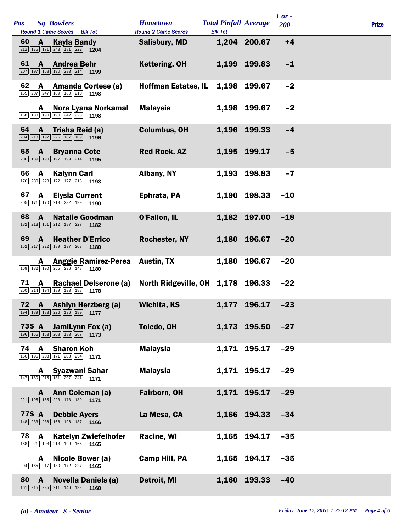| <b>Pos</b> |              | <b>Sq Bowlers</b><br>Round 1 Game Scores Blk Tot                                                                     | <b>Hometown</b><br><b>Round 2 Game Scores</b> | <b>Total Pinfall Average</b><br><b>Blk Tot</b> |              | $+ or -$<br>200 | <b>Prize</b> |
|------------|--------------|----------------------------------------------------------------------------------------------------------------------|-----------------------------------------------|------------------------------------------------|--------------|-----------------|--------------|
| 60         | $\mathbf{A}$ | Kayla Bandy<br>$\boxed{212}$ 175 171 243 181 222 1204                                                                | <b>Salisbury, MD</b>                          |                                                | 1,204 200.67 | $+4$            |              |
| 61         | $\mathbf{A}$ | <b>Andrea Behr</b><br>$\boxed{207}$ 197 158 190 233 214 1199                                                         | Kettering, OH                                 | 1,199                                          | 199.83       | $-1$            |              |
| 62         | A            | <b>Amanda Cortese (a)</b><br>165 207 247 189 180 210 1198                                                            | <b>Hoffman Estates, IL</b>                    | 1,198                                          | 199.67       | $-2$            |              |
|            | A            | Nora Lyana Norkamal<br>168 183 190 190 242 225 1198                                                                  | <b>Malaysia</b>                               |                                                | 1,198 199.67 | $-2$            |              |
| 64         | $\mathbf{A}$ | Trisha Reid (a)<br>$\boxed{204}$ $\boxed{218}$ $\boxed{192}$ $\boxed{226}$ $\boxed{187}$ $\boxed{169}$ $\boxed{196}$ | <b>Columbus, OH</b>                           |                                                | 1,196 199.33 | $-4$            |              |
| 65         | $\mathbf{A}$ | <b>Bryanna Cote</b><br>206 189 190 197 199 214 1195                                                                  | <b>Red Rock, AZ</b>                           |                                                | 1,195 199.17 | $-5$            |              |
| 66         | A            | <b>Kalynn Carl</b><br>176 230 223 172 177 215 1193                                                                   | Albany, NY                                    |                                                | 1,193 198.83 | $-7$            |              |
| 67         | A            | <b>Elysia Current</b><br>$\boxed{205}$ 171 170 213 232 199 1190                                                      | Ephrata, PA                                   |                                                | 1.190 198.33 | $-10$           |              |
| 68         | $\mathbf{A}$ | <b>Natalie Goodman</b><br>182 213 161 212 187 227 182                                                                | <b>O'Fallon, IL</b>                           |                                                | 1,182 197.00 | $-18$           |              |
| 69         | $\mathbf{A}$ | <b>Heather D'Errico</b><br>$\boxed{152}\boxed{217}\boxed{222}\boxed{189}\boxed{197}\boxed{203}$ 1180                 | <b>Rochester, NY</b>                          |                                                | 1,180 196.67 | $-20$           |              |
|            | A            | <b>Anggie Ramirez-Perea</b><br>169 182 190 255 236 148 1180                                                          | <b>Austin, TX</b>                             | 1,180                                          | 196.67       | $-20$           |              |
| 71         | $\mathbf{A}$ | Rachael Delserone (a)<br>200 214 194 189 193 188 1778                                                                | North Ridgeville, OH 1,178 196.33             |                                                |              | $-22$           |              |
| 72         |              | A Ashlyn Herzberg (a)<br>194 189 183 226 196 189 177                                                                 | <b>Wichita, KS</b>                            | 1,177                                          | 196.17       | $-23$           |              |
|            | 73S A        | JamiLynn Fox (a)<br>$\boxed{196}$ $\boxed{156}$ $\boxed{163}$ $\boxed{208}$ $\boxed{183}$ $\boxed{267}$ 1173         | Toledo, OH                                    |                                                | 1,173 195.50 | $-27$           |              |
| 74         | A            | <b>Sharon Koh</b><br>160 195 203 171 208 234 171                                                                     | <b>Malaysia</b>                               |                                                | 1,171 195.17 | $-29$           |              |
|            | A            | <b>Syazwani Sahar</b><br>147 180 215 181 207 241 171                                                                 | <b>Malaysia</b>                               |                                                | 1,171 195.17 | $-29$           |              |
|            | A            | Ann Coleman (a)<br>$\boxed{221}$ 195 165 223 178 189 1171                                                            | Fairborn, OH                                  |                                                | 1,171 195.17 | $-29$           |              |
|            | 77S A        | <b>Debbie Ayers</b><br>$\boxed{148}$ $\boxed{233}$ $\boxed{236}$ $\boxed{166}$ $\boxed{196}$ $\boxed{187}$ 1166      | La Mesa, CA                                   |                                                | 1,166 194.33 | $-34$           |              |
| 78         | A            | <b>Katelyn Zwiefelhofer</b><br>168 221 198 213 199 166 1165                                                          | <b>Racine, WI</b>                             | 1,165                                          | 194.17       | $-35$           |              |
|            | A            | Nicole Bower (a)<br>204 165 217 180 172 227 1165                                                                     | <b>Camp Hill, PA</b>                          |                                                | 1,165 194.17 | $-35$           |              |
| 80         | $\mathbf{A}$ | <b>Novella Daniels (a)</b><br>161 215 235 211 146 192 1160                                                           | Detroit, MI                                   | 1,160                                          | 193.33       | $-40$           |              |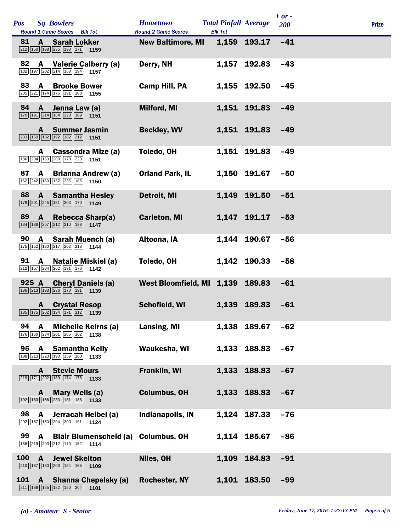| <b>Pos</b> |              | <b>Sq Bowlers</b><br>Round 1 Game Scores Blk Tot                      | <b>Hometown</b><br><b>Round 2 Game Scores</b> | <b>Total Pinfall Average</b><br><b>Blk Tot</b> |              | $+ or -$<br>200 | <b>Prize</b> |
|------------|--------------|-----------------------------------------------------------------------|-----------------------------------------------|------------------------------------------------|--------------|-----------------|--------------|
| 81         | A            | <b>Sarah Lokker</b><br>212 150 198 235 193 171 159                    | <b>New Baltimore, MI</b>                      |                                                | 1,159 193.17 | $-41$           |              |
| 82         |              | A Valerie Calberry (a)<br>182 197 202 214 168 194 1157                | Derry, NH                                     |                                                | 1,157 192.83 | $-43$           |              |
| 83         | $\mathbf{A}$ | <b>Brooke Bower</b><br>205 221 174 176 191 188 1155                   | Camp Hill, PA                                 |                                                | 1,155 192.50 | $-45$           |              |
| 84         | $\mathbf{A}$ | Jenna Law (a)<br>170 191 214 164 223 189 1151                         | Milford, MI                                   |                                                | 1,151 191.83 | $-49$           |              |
|            |              | <b>A</b> Summer Jasmin<br>233 150 182 192 182 212 1151                | <b>Beckley, WV</b>                            |                                                | 1,151 191.83 | $-49$           |              |
|            | A            | <b>Cassondra Mize (a)</b><br>186 204 163 200 178 220 1151             | Toledo, OH                                    | 1,151                                          | 191.83       | $-49$           |              |
| 87         | $\mathbf{A}$ | <b>Brianna Andrew (a)</b><br>162 242 169 157 235 185 1150             | <b>Orland Park, IL</b>                        |                                                | 1,150 191.67 | $-50$           |              |
| 88         | A            | <b>Samantha Hesley</b><br>179 201 245 151 203 170 1149                | Detroit, MI                                   |                                                | 1,149 191.50 | $-51$           |              |
| 89         | $\mathsf{A}$ | <b>Rebecca Sharp(a)</b><br>134 186 207 212 210 198 1147               | <b>Carleton, MI</b>                           |                                                | 1,147 191.17 | $-53$           |              |
| 90         |              | A Sarah Muench (a)<br>175 152 180 217 202 218 1144                    | Altoona, IA                                   |                                                | 1,144 190.67 | $-56$           |              |
| 91         | $\mathbf{A}$ | Natalie Miskiel (a)<br>212 157 204 202 191 176 1142                   | Toledo, OH                                    |                                                | 1,142 190.33 | $-58$           |              |
|            | 92S A        | <b>Cheryl Daniels (a)</b><br>136 213 193 236 170 191 1139             | West Bloomfield, MI 1,139 189.83              |                                                |              | $-61$           |              |
|            |              | <b>A</b> Crystal Resop<br>185 175 202 194 171 212 1139                | Schofield, WI                                 |                                                | 1,139 189.83 | $-61$           |              |
| 94         | A            | <b>Michelle Keirns (a)</b><br>176 160 234 201 205 162 1138            | Lansing, MI                                   | 1,138                                          | 189.67       | $-62$           |              |
| 95         |              | <b>A</b> Samantha Kelly<br>188 213 223 190 159 160 1133               | Waukesha, WI                                  |                                                | 1,133 188.83 | $-67$           |              |
|            | A            | <b>Stevie Mours</b><br>$\boxed{219}$ 171 202 189 174 178 1133         | <b>Franklin, WI</b>                           |                                                | 1,133 188.83 | $-67$           |              |
|            | A            | Mary Wells (a)<br>192 183 156 233 181 188 1133                        | <b>Columbus, OH</b>                           |                                                | 1,133 188.83 | $-67$           |              |
| 98         | $\mathbf{A}$ | Jerracah Heibel (a)<br>202 167 160 204 200 191 1124                   | <b>Indianapolis, IN</b>                       |                                                | 1,124 187.33 | $-76$           |              |
| 99         | $\mathbf{A}$ | <b>Blair Blumenscheid (a)</b><br>158 219 203 212 170 152 1114         | <b>Columbus, OH</b>                           |                                                | 1,114 185.67 | $-86$           |              |
| 100        | $\mathbf{A}$ | <b>Jewel Skelton</b><br>$\boxed{210}$ 187 160 203 184 165 1109        | Niles, OH                                     |                                                | 1,109 184.83 | $-91$           |              |
| <b>101</b> | $\mathbf{A}$ | <b>Shanna Chepelsky (a)</b><br>$\boxed{211}$ 189 165 182 150 204 1101 | <b>Rochester, NY</b>                          |                                                | 1,101 183.50 | $-99$           |              |